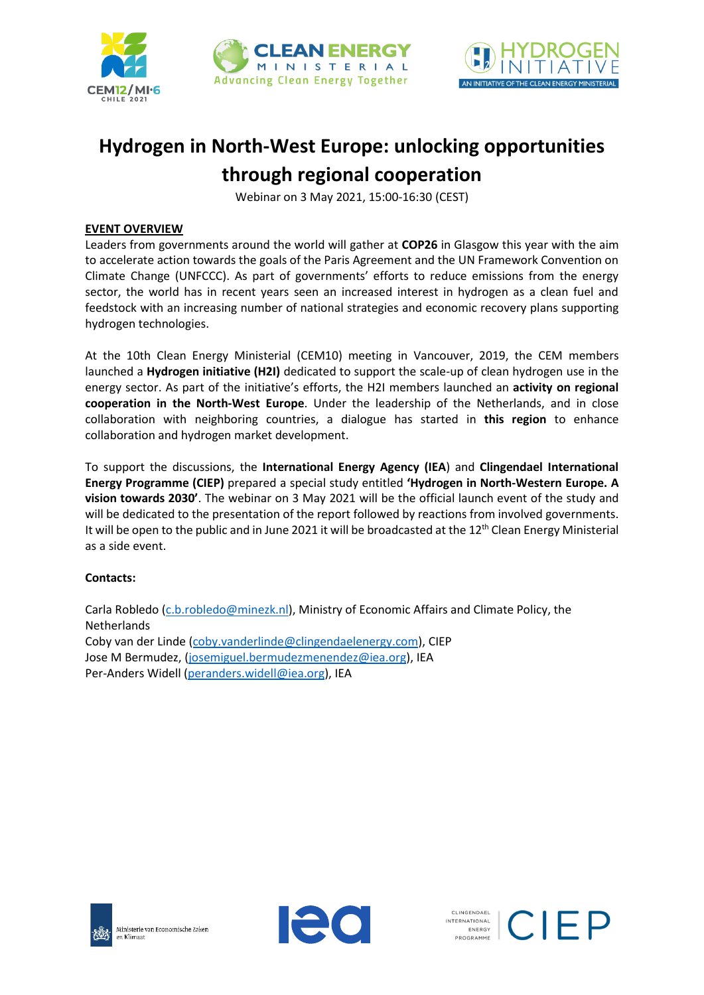



# **Hydrogen in North-West Europe: unlocking opportunities through regional cooperation**

Webinar on 3 May 2021, 15:00-16:30 (CEST)

## **EVENT OVERVIEW**

Leaders from governments around the world will gather at **COP26** in Glasgow this year with the aim to accelerate action towards the goals of the Paris Agreement and the UN Framework Convention on Climate Change (UNFCCC). As part of governments' efforts to reduce emissions from the energy sector, the world has in recent years seen an increased interest in hydrogen as a clean fuel and feedstock with an increasing number of national strategies and economic recovery plans supporting hydrogen technologies.

At the 10th Clean Energy Ministerial (CEM10) meeting in Vancouver, 2019, the CEM members launched a **Hydrogen initiative (H2I)** dedicated to support the scale-up of clean hydrogen use in the energy sector. As part of the initiative's efforts, the H2I members launched an **activity on regional cooperation in the North-West Europe**. Under the leadership of the Netherlands, and in close collaboration with neighboring countries, a dialogue has started in **this region** to enhance collaboration and hydrogen market development.

To support the discussions, the **International Energy Agency (IEA**) and **Clingendael International Energy Programme (CIEP)** prepared a special study entitled **'Hydrogen in North-Western Europe. A vision towards 2030'**. The webinar on 3 May 2021 will be the official launch event of the study and will be dedicated to the presentation of the report followed by reactions from involved governments. It will be open to the public and in June 2021 it will be broadcasted at the 12<sup>th</sup> Clean Energy Ministerial as a side event.

## **Contacts:**

Carla Robledo [\(c.b.robledo@minezk.nl\)](mailto:c.b.robledo@minezk.nl), Ministry of Economic Affairs and Climate Policy, the Netherlands Coby van der Linde [\(coby.vanderlinde@clingendaelenergy.com\)](mailto:coby.vanderlinde@clingendaelenergy.com), CIEP Jose M Bermudez, [\(josemiguel.bermudezmenendez@iea.org\)](mailto:josemiguel.bermudezmenendez@iea.org), IEA Per-Anders Widell [\(peranders.widell@iea.org\)](mailto:peranders.widell@iea.org), IEA